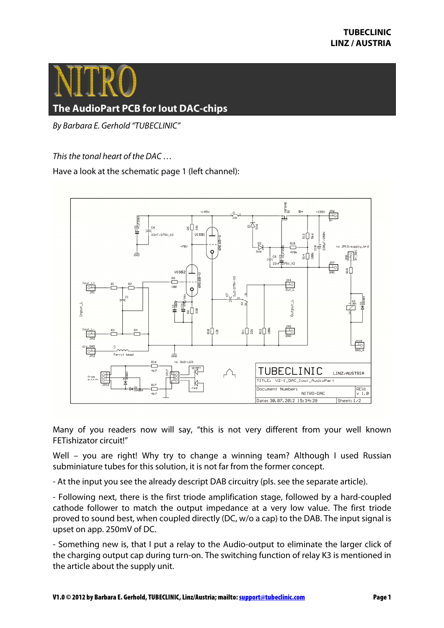

## **The AudioPart PCB for Iout DAC-chips**

By Barbara E. Gerhold "TUBECLINIC"

This the tonal heart of the DAC …

Have a look at the schematic page 1 (left channel):



Many of you readers now will say, "this is not very different from your well known FETishizator circuit!"

Well – you are right! Why try to change a winning team? Although I used Russian subminiature tubes for this solution, it is not far from the former concept.

- At the input you see the already descript DAB circuitry (pls. see the separate article).

- Following next, there is the first triode amplification stage, followed by a hard-coupled cathode follower to match the output impedance at a very low value. The first triode proved to sound best, when coupled directly (DC, w/o a cap) to the DAB. The input signal is upset on app. 250mV of DC.

- Something new is, that I put a relay to the Audio-output to eliminate the larger click of the charging output cap during turn-on. The switching function of relay K3 is mentioned in the article about the supply unit.